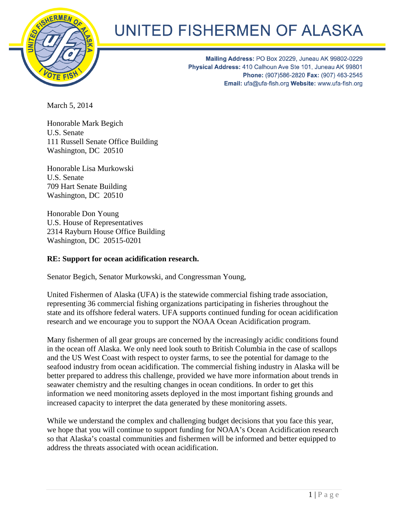

## UNITED FISHERMEN OF ALASKA

Mailing Address: PO Box 20229, Juneau AK 99802-0229 Physical Address: 410 Calhoun Ave Ste 101, Juneau AK 99801 Phone: (907)586-2820 Fax: (907) 463-2545 Email: ufa@ufa-fish.org Website: www.ufa-fish.org

March 5, 2014

Honorable Mark Begich U.S. Senate 111 Russell Senate Office Building Washington, DC 20510

Honorable Lisa Murkowski U.S. Senate 709 Hart Senate Building Washington, DC 20510

Honorable Don Young U.S. House of Representatives 2314 Rayburn House Office Building Washington, DC 20515-0201

## **RE: Support for ocean acidification research.**

Senator Begich, Senator Murkowski, and Congressman Young,

United Fishermen of Alaska (UFA) is the statewide commercial fishing trade association, representing 36 commercial fishing organizations participating in fisheries throughout the state and its offshore federal waters. UFA supports continued funding for ocean acidification research and we encourage you to support the NOAA Ocean Acidification program.

Many fishermen of all gear groups are concerned by the increasingly acidic conditions found in the ocean off Alaska. We only need look south to British Columbia in the case of scallops and the US West Coast with respect to oyster farms, to see the potential for damage to the seafood industry from ocean acidification. The commercial fishing industry in Alaska will be better prepared to address this challenge, provided we have more information about trends in seawater chemistry and the resulting changes in ocean conditions. In order to get this information we need monitoring assets deployed in the most important fishing grounds and increased capacity to interpret the data generated by these monitoring assets.

While we understand the complex and challenging budget decisions that you face this year, we hope that you will continue to support funding for NOAA's Ocean Acidification research so that Alaska's coastal communities and fishermen will be informed and better equipped to address the threats associated with ocean acidification.